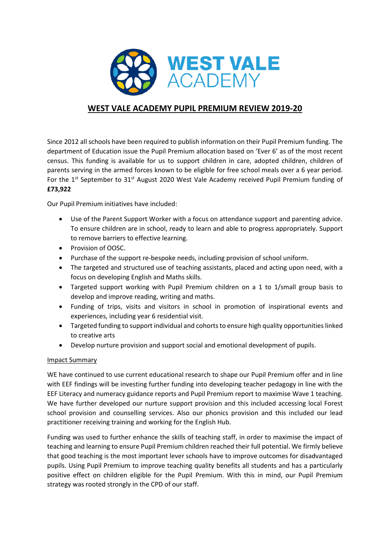

# **WEST VALE ACADEMY PUPIL PREMIUM REVIEW 2019-20**

Since 2012 all schools have been required to publish information on their Pupil Premium funding. The department of Education issue the Pupil Premium allocation based on 'Ever 6' as of the most recent census. This funding is available for us to support children in care, adopted children, children of parents serving in the armed forces known to be eligible for free school meals over a 6 year period. For the  $1<sup>st</sup>$  September to 31<sup>st</sup> August 2020 West Vale Academy received Pupil Premium funding of **£73,922**

Our Pupil Premium initiatives have included:

- Use of the Parent Support Worker with a focus on attendance support and parenting advice. To ensure children are in school, ready to learn and able to progress appropriately. Support to remove barriers to effective learning.
- Provision of OOSC.
- Purchase of the support re-bespoke needs, including provision of school uniform.
- The targeted and structured use of teaching assistants, placed and acting upon need, with a focus on developing English and Maths skills.
- Targeted support working with Pupil Premium children on a 1 to 1/small group basis to develop and improve reading, writing and maths.
- Funding of trips, visits and visitors in school in promotion of inspirational events and experiences, including year 6 residential visit.
- Targeted funding to support individual and cohorts to ensure high quality opportunities linked to creative arts
- Develop nurture provision and support social and emotional development of pupils.

## Impact Summary

WE have continued to use current educational research to shape our Pupil Premium offer and in line with EEF findings will be investing further funding into developing teacher pedagogy in line with the EEF Literacy and numeracy guidance reports and Pupil Premium report to maximise Wave 1 teaching. We have further developed our nurture support provision and this included accessing local Forest school provision and counselling services. Also our phonics provision and this included our lead practitioner receiving training and working for the English Hub.

Funding was used to further enhance the skills of teaching staff, in order to maximise the impact of teaching and learning to ensure Pupil Premium children reached their full potential. We firmly believe that good teaching is the most important lever schools have to improve outcomes for disadvantaged pupils. Using Pupil Premium to improve teaching quality benefits all students and has a particularly positive effect on children eligible for the Pupil Premium. With this in mind, our Pupil Premium strategy was rooted strongly in the CPD of our staff.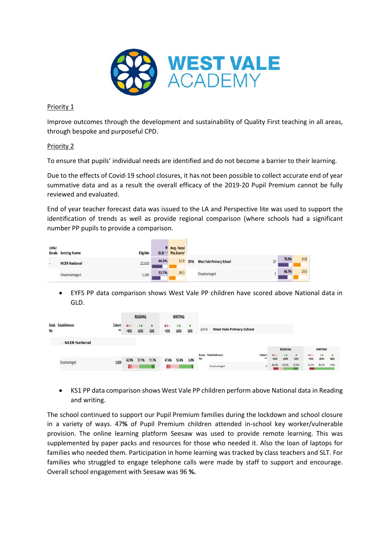

#### Priority 1

Improve outcomes through the development and sustainability of Quality First teaching in all areas, through bespoke and purposeful CPD.

### Priority 2

To ensure that pupils' individual needs are identified and do not become a barrier to their learning.

Due to the effects of Covid-19 school closures, it has not been possible to collect accurate end of year summative data and as a result the overall efficacy of the 2019-20 Pupil Premium cannot be fully reviewed and evaluated.

End of year teacher forecast data was issued to the LA and Perspective lite was used to support the identification of trends as well as provide regional comparison (where schools had a significant number PP pupils to provide a comparison.

| URN/ | <b>Estab.</b> Setting Name | <b>Eligible</b> | GLD <sup>12</sup> | Avg. Total<br>Pts.Score <sup>2</sup> |      |                                 |    |       |      |  |
|------|----------------------------|-----------------|-------------------|--------------------------------------|------|---------------------------------|----|-------|------|--|
| ٠    | <b>NCER National</b>       | 22,620          | 66.0%             | 32.8                                 | 2016 | <b>West Vale Primary School</b> | 20 | 75.0% | 34.8 |  |
|      | <b>Disadvantaged</b>       | 2,280           | 53.7%             | 30.5                                 |      | <b>Disadvantaged</b>            |    | 66.7% | 29.0 |  |

 EYFS PP data comparison shows West Vale PP children have scored above National data in GLD.

|     |                      |                                | <b>READING</b>                                                                                                                                                                                                                                                                                                                                                                      |                                  | <b>WRITING</b>   |                                                                                                                                                                                                                                             |                           |                  |                             |                                 |                                 |                                                                                                                                                  |            |                  |                                                            |            |      |
|-----|----------------------|--------------------------------|-------------------------------------------------------------------------------------------------------------------------------------------------------------------------------------------------------------------------------------------------------------------------------------------------------------------------------------------------------------------------------------|----------------------------------|------------------|---------------------------------------------------------------------------------------------------------------------------------------------------------------------------------------------------------------------------------------------|---------------------------|------------------|-----------------------------|---------------------------------|---------------------------------|--------------------------------------------------------------------------------------------------------------------------------------------------|------------|------------------|------------------------------------------------------------|------------|------|
| No. | Estab. Establishment | <b>Cohort</b><br>$^{\ast\ast}$ | 000<br><exs< td=""><td><math>\bullet\bullet</math><br/><math>\Sigma</math>EXS</td><td><math>\bullet</math><br/>GDS</td><td>000<br/><exs< td=""><td><math>\bullet</math><br/><math>\Sigma</math>EXS</td><td><math>\bullet</math><br/>GDS</td><td>2016</td><td><b>West Vale Primary School</b></td><td></td><td></td><td></td><td></td><td></td><td></td><td></td></exs<></td></exs<> | $\bullet\bullet$<br>$\Sigma$ EXS | $\bullet$<br>GDS | 000<br><exs< td=""><td><math>\bullet</math><br/><math>\Sigma</math>EXS</td><td><math>\bullet</math><br/>GDS</td><td>2016</td><td><b>West Vale Primary School</b></td><td></td><td></td><td></td><td></td><td></td><td></td><td></td></exs<> | $\bullet$<br>$\Sigma$ EXS | $\bullet$<br>GDS | 2016                        | <b>West Vale Primary School</b> |                                 |                                                                                                                                                  |            |                  |                                                            |            |      |
|     | - NCER National      |                                |                                                                                                                                                                                                                                                                                                                                                                                     |                                  |                  |                                                                                                                                                                                                                                             |                           |                  |                             |                                 |                                 |                                                                                                                                                  |            |                  |                                                            |            |      |
|     |                      |                                |                                                                                                                                                                                                                                                                                                                                                                                     |                                  |                  |                                                                                                                                                                                                                                             |                           | <b>READING</b>   |                             |                                 | <b>WRITING</b>                  |                                                                                                                                                  |            |                  |                                                            |            |      |
|     |                      |                                | 42.9%                                                                                                                                                                                                                                                                                                                                                                               | 57.1%                            | 11.7%            | 47.6%                                                                                                                                                                                                                                       | 52.4%                     | 6.8%             | Estab. Establishment<br>No. |                                 | Cohort<br>$^{\tiny{\text{++}}}$ | <exs< td=""><td>00<br/>EXXS</td><td><math>\bullet</math><br/>GDS</td><td>000<br/><exs< td=""><td>00<br/>EXXS</td><td>GDS</td></exs<></td></exs<> | 00<br>EXXS | $\bullet$<br>GDS | 000<br><exs< td=""><td>00<br/>EXXS</td><td>GDS</td></exs<> | 00<br>EXXS | GDS  |
|     | <b>Disadvantaged</b> | 3,820                          |                                                                                                                                                                                                                                                                                                                                                                                     |                                  |                  |                                                                                                                                                                                                                                             |                           |                  |                             | Disadvantaged                   |                                 | 40.0%                                                                                                                                            | 60.0%      | 20.0%            | 20.0%                                                      | 80.0%      | 0.0% |

 KS1 PP data comparison shows West Vale PP children perform above National data in Reading and writing.

The school continued to support our Pupil Premium families during the lockdown and school closure in a variety of ways. 47**%** of Pupil Premium children attended in-school key worker/vulnerable provision. The online learning platform Seesaw was used to provide remote learning. This was supplemented by paper packs and resources for those who needed it. Also the loan of laptops for families who needed them. Participation in home learning was tracked by class teachers and SLT. For families who struggled to engage telephone calls were made by staff to support and encourage. Overall school engagement with Seesaw was 96 **%.**